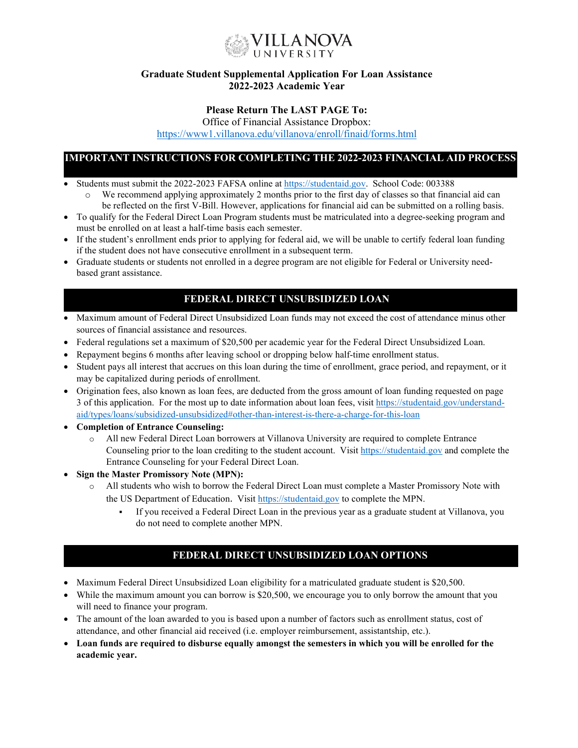

### **Graduate Student Supplemental Application For Loan Assistance 2022-2023 Academic Year**

## **Please Return The LAST PAGE To:**

Office of Financial Assistance Dropbox:

<https://www1.villanova.edu/villanova/enroll/finaid/forms.html>

# **IMPORTANT INSTRUCTIONS FOR COMPLETING THE 2022-2023 FINANCIAL AID PROCESS**

- Students must submit the 2022-2023 FAFSA online at [https://studentaid.gov.](https://studentaid.gov/) School Code: 003388
	- We recommend applying approximately 2 months prior to the first day of classes so that financial aid can be reflected on the first V-Bill. However, applications for financial aid can be submitted on a rolling basis.
- To qualify for the Federal Direct Loan Program students must be matriculated into a degree-seeking program and must be enrolled on at least a half-time basis each semester.
- If the student's enrollment ends prior to applying for federal aid, we will be unable to certify federal loan funding if the student does not have consecutive enrollment in a subsequent term.
- Graduate students or students not enrolled in a degree program are not eligible for Federal or University needbased grant assistance.

# **FEDERAL DIRECT UNSUBSIDIZED LOAN**

- Maximum amount of Federal Direct Unsubsidized Loan funds may not exceed the cost of attendance minus other sources of financial assistance and resources.
- Federal regulations set a maximum of \$20,500 per academic year for the Federal Direct Unsubsidized Loan.
- Repayment begins 6 months after leaving school or dropping below half-time enrollment status.
- Student pays all interest that accrues on this loan during the time of enrollment, grace period, and repayment, or it may be capitalized during periods of enrollment.
- Origination fees, also known as loan fees, are deducted from the gross amount of loan funding requested on page 3 of this application. For the most up to date information about loan fees, visit [https://studentaid.gov/understand](https://studentaid.gov/understand-aid/types/loans/subsidized-unsubsidized%23other-than-interest-is-there-a-charge-for-this-loan)[aid/types/loans/subsidized-unsubsidized#other-than-interest-is-there-a-charge-for-this-loan](https://studentaid.gov/understand-aid/types/loans/subsidized-unsubsidized%23other-than-interest-is-there-a-charge-for-this-loan)
- **Completion of Entrance Counseling:**
	- o All new Federal Direct Loan borrowers at Villanova University are required to complete Entrance Counseling prior to the loan crediting to the student account. Visit [https://studentaid.gov](https://studentaid.gov/) and complete the Entrance Counseling for your Federal Direct Loan.
- **Sign the Master Promissory Note (MPN):**
	- o All students who wish to borrow the Federal Direct Loan must complete a Master Promissory Note with the US Department of Education. Visit [https://studentaid.gov](https://studentaid.gov/) to complete the MPN.
		- If you received a Federal Direct Loan in the previous year as a graduate student at Villanova, you do not need to complete another MPN.

# **FEDERAL DIRECT UNSUBSIDIZED LOAN OPTIONS**

- Maximum Federal Direct Unsubsidized Loan eligibility for a matriculated graduate student is \$20,500.
- While the maximum amount you can borrow is \$20,500, we encourage you to only borrow the amount that you will need to finance your program.
- The amount of the loan awarded to you is based upon a number of factors such as enrollment status, cost of attendance, and other financial aid received (i.e. employer reimbursement, assistantship, etc.).
- **Loan funds are required to disburse equally amongst the semesters in which you will be enrolled for the academic year.**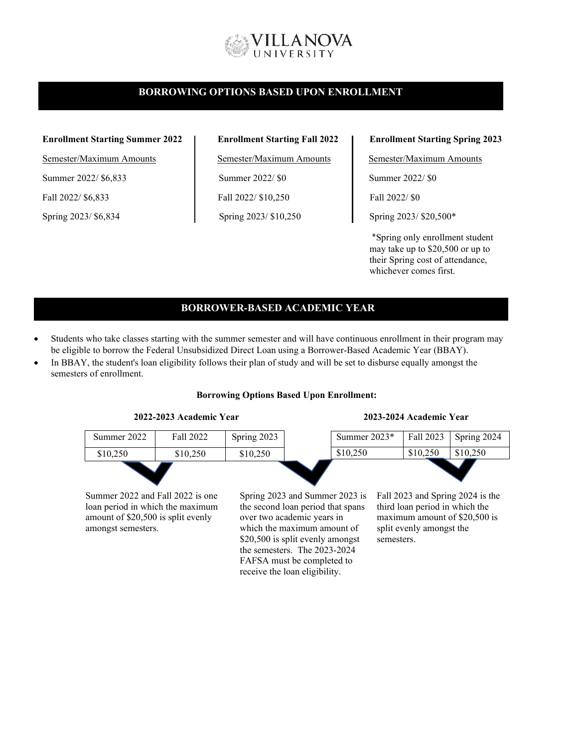# **ILLANOVA**

## **BORROWING OPTIONS BASED UPON ENROLLMENT**

#### **Enrollment Starting Summer 2022 Enrollment Starting Fall 2022 Enrollment Starting Spring 2023**

Semester/Maximum Amounts Semester/Maximum Amounts Semester/Maximum Amounts Summer 2022/ \$6,833 Summer 2022/ \$0 Summer 2022/ \$0 Fall 2022/ \$6,833 Fall 2022/ \$10,250 Fall 2022/ \$0 Spring 2023/ \$6,834 Spring 2023/ \$10,250 Spring 2023/ \$20,500\*

\*Spring only enrollment student may take up to \$20,500 or up to their Spring cost of attendance, whichever comes first.

# **BORROWER-BASED ACADEMIC YEAR**

- Students who take classes starting with the summer semester and will have continuous enrollment in their program may be eligible to borrow the Federal Unsubsidized Direct Loan using a Borrower-Based Academic Year (BBAY).
- In BBAY, the student's loan eligibility follows their plan of study and will be set to disburse equally amongst the semesters of enrollment.

#### **Borrowing Options Based Upon Enrollment:**



Summer 2022 and Fall 2022 is one loan period in which the maximum amount of \$20,500 is split evenly amongst semesters.

Spring 2023 and Summer 2023 is the second loan period that spans over two academic years in which the maximum amount of \$20,500 is split evenly amongst the semesters. The 2023-2024 FAFSA must be completed to receive the loan eligibility.

Fall 2023 and Spring 2024 is the third loan period in which the maximum amount of \$20,500 is split evenly amongst the semesters.